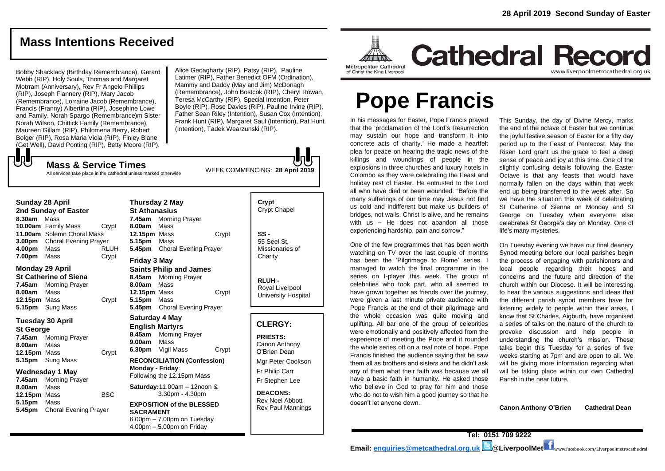## **Mass Intentions Received**

Bobby Shacklady (Birthday Remembrance), Gerard Webb (RIP), Holy Souls, Thomas and Margaret Motrram (Anniversary), Rev Fr Angelo Phillips (RIP), Joseph Flannery (RIP), Mary Jacob (Remembrance), Lorraine Jacob (Remembrance), Francis (Franny) Albertina (RIP), Josephine Lowe and Family, Norah Spargo (Remembrance)m Sister Norah Wilson, Chittick Family (Remembrance), Maureen Gillam (RIP), Philomena Berry, Robert Bolger (RIP), Rosa Maria Viola (RIP), Finley Blane (Get Well), David Ponting (RIP), Betty Moore (RIP),

**Mass & Service Times**

Alice Geoagharty (RIP), Patsy (RIP), Pauline Latimer (RIP), Father Benedict OFM (Ordination), Mammy and Daddy (May and Jim) McDonagh (Remembrance), John Bostcok (RIP), Cheryl Rowan, Teresa McCarthy (RIP), Special Intention, Peter Boyle (RIP), Rose Davies (RIP), Pauline Irvine (RIP), Father Sean Riley (Intention), Susan Cox (Intention), Frank Hunt (RIP), Margaret Saul (Intention), Pat Hunt (Intention), Tadek Wearzunski (RIP).

WEEK COMMENCING: **28 April 2019**

All services take place in the cathedral unless marked otherwise

#### **Sunday 28 April**

もし

**2nd Sunday of Easter 8.30am** Mass **10.00am** Family Mass Crypt **11.00am** Solemn Choral Mass **3.00pm** Choral Evening Prayer **4.00pm** Mass RLUH **7.00pm** Mass Crypt

#### **Monday 29 April St Catherine of Siena 7.45am** Morning Prayer **8.00am** Mass **12.15pm** Mass Crypt **5.15pm** Sung Mass

### **Tuesday 30 April**

**St George 7.45am** Morning Prayer **8.00am** Mass **12.15pm** Mass Crypt **5.15pm** Sung Mass

#### **Wednesday 1 May**

**7.45am** Morning Prayer **8.00am** Mass 12.15pm Mass BSC **5.15pm** Mass **5.45pm** Choral Evening Prayer

**Thursday 2 May St Athanasius 7.45am** Morning Prayer **8.00am** Mass **12.15pm** Mass Crypt **5.15pm** Mass **5.45pm** Choral Evening Prayer

#### **Friday 3 May Saints Philip and James 8.45am** Morning Prayer

**8.00am** Mass **12.15pm** Mass Crypt **5.15pm** Mass **5.45pm** Choral Evening Prayer

## **Saturday 4 May**

**English Martyrs 8.45am** Morning Prayer **9.00am** Mass **6.30pm** Vigil Mass Crypt **RECONCILIATION (Confession) Monday - Friday**: Following the 12.15pm Mass **Saturday:**11.00am – 12noon & 3.30pm - 4.30pm

**EXPOSITION of the BLESSED SACRAMENT**  $6.00$ pm –  $7.00$ pm on Tuesdav 4.00pm – 5.00pm on Friday

# **Crypt**  Crypt Chapel **SS -**

55 Seel St, Missionaries of **Charity** 

**RLUH -** Royal Liverpool University Hospital

#### **CLERGY:**

**PRIESTS:** Canon Anthony O'Brien *Dean*

Mgr Peter Cookson Fr Philip Carr Fr Stephen Lee

**DEACONS:** Rev Noel Abbott Rev Paul Mannings



# **Cathedral Record** www.liverpoolmetrocathedral.org.uk

# **Pope Francis**

In his messages for Easter, Pope Francis prayed that the 'proclamation of the Lord's Resurrection the end of the octave of Easter but w may sustain our hope and transform it into rilay sustain our nope and transionm it into<br>concrete acts of charity.' He made a heartfelt plea for peace on hearing the tragic news of the Risen Lord grant us the grace to feel a dee killings and woundings of people in the explosions in three churches and luxury hotels in Colombo as they were celebrating the Feast and before the state of Easter. He entrusted to the Lord aroundly fallen on the days within the holiday rest of Easter. He entrusted to the Lord normally fallen on the days within the all who have died or been wounded. "Before the many sufferings of our time may Jesus not find many surierings or our time may Jesus not find<br>us cold and indifferent but make us builders of bridges, not walls. Christ is alive, and he remains with us – He does not abandon all those experiencing hardship, pain and sorrow." 
<br>
life's many mysteries.

One of the few programmes that has been worth watching on TV over the last couple of months has been the 'Pilgrimage to Rome' series. I managed to watch the final programme in the series on I-player this week. The group of concerns and the future and direction of the celebrities who took part, who all seemed to have grown together as friends over the journey, nave grown together as menus over the journey, to hear<br>were given a last minute private audience with the diff Pope Francis at the end of their pilgrimage and the whole occasion was quite moving and uplifting. All bar one of the group of celebrities upinting. An part one or the group or celebrities a series or taiks on the nature or the church<br>were emotionally and positively affected from the provoke discussion and help people experience of meeting the Pope and it rounded understanding the church's mission. These the whole series off on a real note of hope. Pope Francis finished the audience saying that he saw Francis innshed the addience saying that he saw beeks starting at 7pm and and<br>them all as brothers and sisters and he didn't ask buill be giving more information any of them what their faith was because we all have a basic faith in humanity. He asked those parish in the near future. who believe in God to pray for him and those who believe in God to pray for him and those<br>who do not to wish him a good journey so that he the control measure is good jecting and give us hope.<br>doesn't let anyone down.

This Sunday, the day of Divine Mercy, marks the end of the octave of Easter but we continue the joyful festive season of Easter for a fifty day period up to the Feast of Pentecost. May the Risen Lord grant us the grace to feel a deep llings and woundings of people in the sense of peace and joy at this time. One of the slightly confusing details following the Easter piosions in three churches and luxury notels in sulghtly contusing details following the Easter<br>olombo as they were celebrating the Feast and Octave is that any feasts that would have normally fallen on the days within that week I who have died or been wounded. "Before the end up being transferred to the week after. So we have the situation this week of celebrating St Catherine of Sienna on Monday and St For the first manufacture of the first Easter Construction of Mary of Mary of Mary of Mary of Mary of Mary of Mary of Mary of Mary of Mary of Mary of Mary of Mary of Mary of Mary of Mary of Mary of Mary of Mary of Mary of ith us - He does not abandon all those celebrates St George's day on Monday. One of life's many mysteries.

ne of the few programmes that has been worth On Tuesday evening we have our final deanery atching on TV over the last couple of months Synod meeting before our local parishes begin<br>use here the Silving set a Parry series the why are you will be an are you were the Silving for the process of engaging with parishioners and as been the ringminage to home senes. If the process of engaging with panshioners and anaged to watch the final programme in the local people regarding their hopes and concerns and the future and direction of the lebrities who took part, who all seemed to church within our Diocese. It will be interesting to hear the various suggestions and ideas that the different parish synod members have for ope Francis at the end of their pilgrimage and listening widely to people within their areas. I e whole occasion was quite moving and know that St Charles, Aigburth, have organised a series of talks on the nature of the church to provoke discussion and help people in understanding the church's mission. These e whole series off on a real note of hope. Pope talks begin this Tuesday for a series of five weeks starting at 7pm and are open to all. We will be giving more information regarding what will be taking place within the taking place within our own Cathedral by of them what their faith was because we all will be taking place within our own Cathedral Parish in the near future.

**Canon Anthony O'Brien Cathedral Dean** Jesus, otherwise it is vulneable to the transmission of the transmission of the transmission of the transmissio<br>Language with optimism is that it is that it is that it is that it is that it is that it is that it is that it